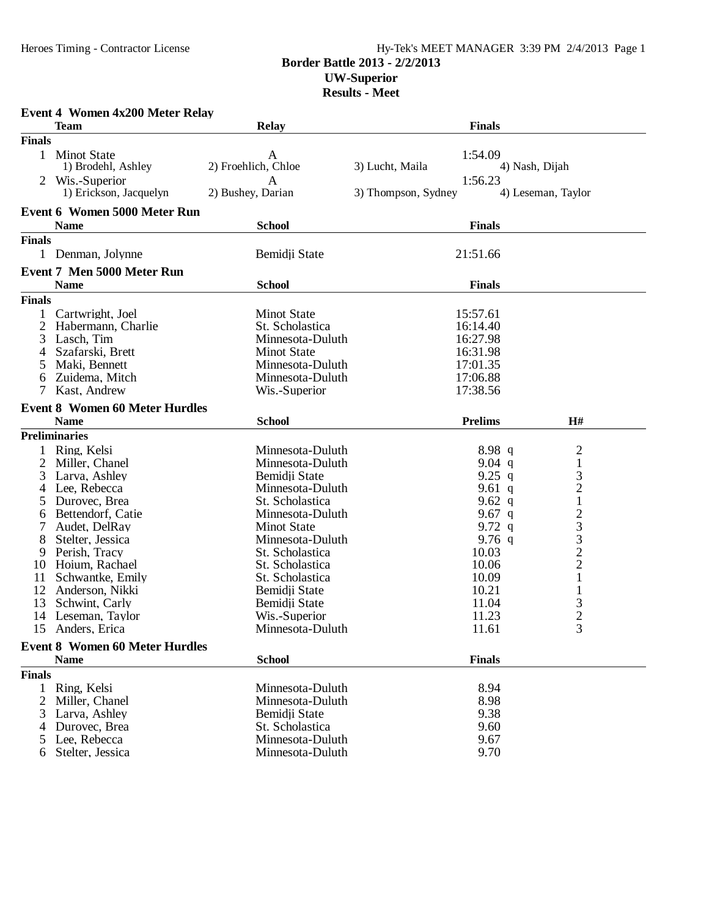## Heroes Timing - Contractor License Hy-Tek's MEET MANAGER 3:39 PM 2/4/2013 Page 1 **Border Battle 2013 - 2/2/2013 UW-Superior**

## **Results - Meet**

|               | <b>Event 4 Women 4x200 Meter Relay</b><br><b>Team</b> | <b>Relay</b>             | <b>Finals</b>                  |                                                 |
|---------------|-------------------------------------------------------|--------------------------|--------------------------------|-------------------------------------------------|
| <b>Finals</b> |                                                       |                          |                                |                                                 |
| $\mathbf{1}$  | <b>Minot State</b><br>1) Brodehl, Ashley              | A<br>2) Froehlich, Chloe | 1:54.09<br>3) Lucht, Maila     | 4) Nash, Dijah                                  |
|               | Wis.-Superior<br>1) Erickson, Jacquelyn               | A<br>2) Bushey, Darian   | 1:56.23<br>3) Thompson, Sydney | 4) Leseman, Taylor                              |
|               | <b>Event 6 Women 5000 Meter Run</b>                   |                          |                                |                                                 |
|               | <b>Name</b>                                           | <b>School</b>            | <b>Finals</b>                  |                                                 |
| <b>Finals</b> |                                                       |                          |                                |                                                 |
| $\mathbf{1}$  | Denman, Jolynne                                       | Bemidji State            | 21:51.66                       |                                                 |
|               | <b>Event 7 Men 5000 Meter Run</b>                     |                          |                                |                                                 |
|               | <b>Name</b>                                           | <b>School</b>            | <b>Finals</b>                  |                                                 |
| <b>Finals</b> |                                                       |                          |                                |                                                 |
|               | Cartwright, Joel                                      | <b>Minot State</b>       | 15:57.61                       |                                                 |
| 2             | Habermann, Charlie                                    | St. Scholastica          | 16:14.40                       |                                                 |
| 3             | Lasch, Tim                                            | Minnesota-Duluth         | 16:27.98                       |                                                 |
| 4             | Szafarski, Brett                                      | <b>Minot State</b>       | 16:31.98                       |                                                 |
| 5             | Maki, Bennett                                         | Minnesota-Duluth         | 17:01.35                       |                                                 |
| 6             | Zuidema, Mitch                                        | Minnesota-Duluth         | 17:06.88                       |                                                 |
| 7             | Kast, Andrew                                          | Wis.-Superior            | 17:38.56                       |                                                 |
|               |                                                       |                          |                                |                                                 |
|               | <b>Event 8 Women 60 Meter Hurdles</b>                 |                          |                                |                                                 |
|               | <b>Name</b>                                           | <b>School</b>            | <b>Prelims</b>                 | H#                                              |
|               | <b>Preliminaries</b>                                  |                          |                                |                                                 |
|               | Ring, Kelsi                                           | Minnesota-Duluth         | 8.98q                          | $\overline{c}$                                  |
| 2             | Miller, Chanel                                        | Minnesota-Duluth         | 9.04 $q$                       | $\,1\,$                                         |
| 3             | Larva, Ashley                                         | Bemidji State            | 9.25 q                         | 3                                               |
| 4             | Lee, Rebecca                                          | Minnesota-Duluth         | 9.61 $q$                       | $\frac{2}{1}$                                   |
| 5             | Durovec, Brea                                         | St. Scholastica          | 9.62 $q$                       |                                                 |
| 6             | Bettendorf, Catie                                     | Minnesota-Duluth         | 9.67 $q$                       | $\frac{2}{3}$                                   |
| 7             | Audet, DelRay                                         | <b>Minot State</b>       | 9.72 $q$                       |                                                 |
| 8             | Stelter, Jessica                                      | Minnesota-Duluth         | 9.76 $q$                       |                                                 |
| 9             | Perish, Tracy                                         | St. Scholastica          | 10.03                          | $\begin{array}{c} 3 \\ 2 \\ 2 \\ 1 \end{array}$ |
| 10            | Hoium, Rachael                                        | St. Scholastica          | 10.06                          |                                                 |
| 11            | Schwantke, Emily                                      | St. Scholastica          | 10.09                          |                                                 |
| 12            | Anderson, Nikki                                       | Bemidji State            | 10.21                          | $\mathbf{1}$                                    |
| 13            | Schwint, Carly                                        | Bemidji State            | 11.04                          | 3                                               |
| 14            | Leseman, Taylor                                       | Wis.-Superior            | 11.23                          | $\overline{2}$                                  |
|               | 15 Anders, Erica                                      | Minnesota-Duluth         | 11.61                          | 3                                               |
|               | <b>Event 8 Women 60 Meter Hurdles</b>                 |                          |                                |                                                 |
|               | <b>Name</b>                                           | <b>School</b>            | <b>Finals</b>                  |                                                 |
| <b>Finals</b> |                                                       |                          |                                |                                                 |
| $\mathbf{1}$  | Ring, Kelsi                                           | Minnesota-Duluth         | 8.94                           |                                                 |
| 2             | Miller, Chanel                                        | Minnesota-Duluth         | 8.98                           |                                                 |
| 3             | Larva, Ashley                                         | Bemidji State            | 9.38                           |                                                 |
| 4             | Durovec, Brea                                         | St. Scholastica          | 9.60                           |                                                 |
| 5             | Lee, Rebecca                                          | Minnesota-Duluth         | 9.67                           |                                                 |
| 6             | Stelter, Jessica                                      | Minnesota-Duluth         | 9.70                           |                                                 |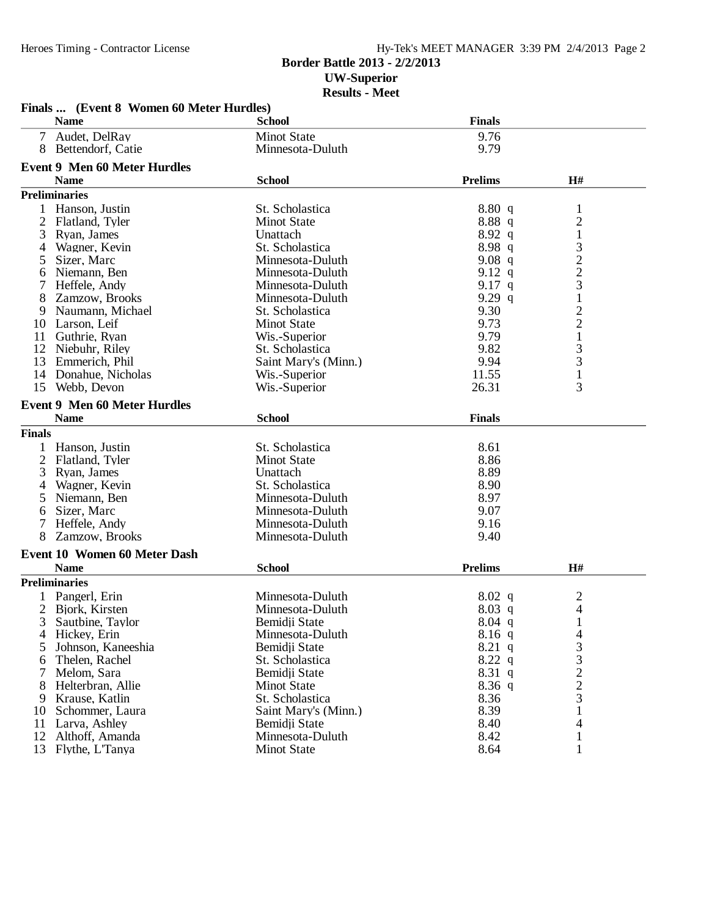## Hy-Tek's MEET MANAGER 3:39 PM 2/4/2013 Page 2

## **Border Battle 2013 - 2/2/2013 UW-Superior Results - Meet**

|                | Finals  (Event 8 Women 60 Meter Hurdles) |                      |                |                |
|----------------|------------------------------------------|----------------------|----------------|----------------|
|                | <b>Name</b>                              | <b>School</b>        | <b>Finals</b>  |                |
| 7 <sup>1</sup> | Audet, DelRay                            | <b>Minot State</b>   | 9.76           |                |
|                | 8 Bettendorf, Catie                      | Minnesota-Duluth     | 9.79           |                |
|                | <b>Event 9 Men 60 Meter Hurdles</b>      |                      |                |                |
|                | <b>Name</b>                              | <b>School</b>        | <b>Prelims</b> | H#             |
|                | <b>Preliminaries</b>                     |                      |                |                |
|                | Hanson, Justin                           | St. Scholastica      | 8.80 q         | 1              |
| 2              | Flatland, Tyler                          | <b>Minot State</b>   | 8.88q          | $\overline{c}$ |
| 3              | Ryan, James                              | Unattach             | 8.92 q         | $\mathbf{1}$   |
| 4              | Wagner, Kevin                            | St. Scholastica      | 8.98q          | $\mathfrak{Z}$ |
| 5              | Sizer, Marc                              | Minnesota-Duluth     | $9.08$ q       | $\overline{c}$ |
| 6              | Niemann, Ben                             | Minnesota-Duluth     | 9.12 q         | $\overline{c}$ |
|                | Heffele, Andy                            | Minnesota-Duluth     | 9.17 $q$       | 3              |
| 8              | Zamzow, Brooks                           | Minnesota-Duluth     | 9.29q          | 1              |
| 9              | Naumann, Michael                         | St. Scholastica      | 9.30           | $\overline{c}$ |
|                | 10 Larson, Leif                          | <b>Minot State</b>   | 9.73           | $\overline{c}$ |
|                | 11 Guthrie, Ryan                         | Wis.-Superior        | 9.79           | $\mathbf{1}$   |
|                | 12 Niebuhr, Riley                        | St. Scholastica      | 9.82           | 3              |
| 13             | Emmerich, Phil                           | Saint Mary's (Minn.) | 9.94           | 3              |
| 14             | Donahue, Nicholas                        | Wis.-Superior        | 11.55          | $\mathbf{1}$   |
| 15             | Webb, Devon                              | Wis.-Superior        | 26.31          | 3              |
|                | <b>Event 9 Men 60 Meter Hurdles</b>      |                      |                |                |
|                | <b>Name</b>                              | <b>School</b>        | <b>Finals</b>  |                |
| <b>Finals</b>  |                                          |                      |                |                |
| $\mathbf{1}$   | Hanson, Justin                           | St. Scholastica      | 8.61           |                |
| $\overline{2}$ | Flatland, Tyler                          | <b>Minot State</b>   | 8.86           |                |
| 3              | Ryan, James                              | Unattach             | 8.89           |                |
| 4              | Wagner, Kevin                            | St. Scholastica      | 8.90           |                |
| 5              | Niemann, Ben                             | Minnesota-Duluth     | 8.97           |                |
| 6              | Sizer, Marc                              | Minnesota-Duluth     | 9.07           |                |
| 7              | Heffele, Andy                            | Minnesota-Duluth     | 9.16           |                |
| 8              | Zamzow, Brooks                           | Minnesota-Duluth     | 9.40           |                |
|                | <b>Event 10 Women 60 Meter Dash</b>      |                      |                |                |
|                | <b>Name</b>                              | <b>School</b>        | <b>Prelims</b> | H#             |
|                | <b>Preliminaries</b>                     |                      |                |                |
|                | Pangerl, Erin                            | Minnesota-Duluth     | $8.02\ q$      | $\overline{c}$ |
| 2              | Bjork, Kirsten                           | Minnesota-Duluth     | $8.03$ q       | 4              |
| 3              | Sautbine, Taylor                         | Bemidji State        | $8.04$ q       | 1              |
|                | 4 Hickey, Erin                           | Minnesota-Duluth     | $8.16$ q       | 4              |
| 5              | Johnson, Kaneeshia                       | Bemidji State        | $8.21\ q$      | 3              |
| 6              | Thelen, Rachel                           | St. Scholastica      | $8.22\ q$      | 3              |
| 7              | Melom, Sara                              | Bemidji State        | 8.31 q         | $\overline{c}$ |
| 8              | Helterbran, Allie                        | <b>Minot State</b>   | $8.36$ q       | $\overline{c}$ |
|                | 9 Krause, Katlin                         | St. Scholastica      | 8.36           | 3              |
| 10             | Schommer, Laura                          | Saint Mary's (Minn.) | 8.39           | 1              |
| 11             | Larva, Ashley                            | Bemidii State        | 8.40           | 4              |
| 12             | Althoff, Amanda                          | Minnesota-Duluth     | 8.42           | 1              |
| 13             | Flythe, L'Tanya                          | <b>Minot State</b>   | 8.64           | 1              |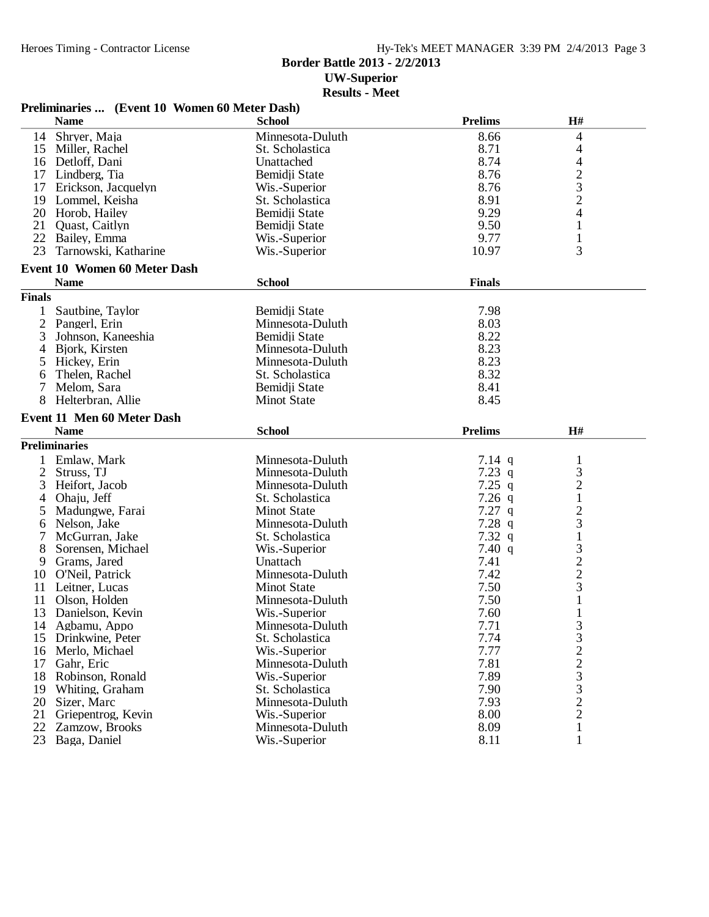## **Border Battle 2013 - 2/2/2013 UW-Superior**

**Results - Meet**

|                | Preliminaries  (Event 10 Women 60 Meter Dash) |                    |                |                                  |  |
|----------------|-----------------------------------------------|--------------------|----------------|----------------------------------|--|
|                | <b>Name</b>                                   | <b>School</b>      | <b>Prelims</b> | H#                               |  |
| 14             | Shryer, Maja                                  | Minnesota-Duluth   | 8.66           | 4                                |  |
| 15             | Miller, Rachel                                | St. Scholastica    | 8.71           | 4                                |  |
|                | 16 Detloff, Dani                              | Unattached         | 8.74           | 4                                |  |
|                | 17 Lindberg, Tia                              | Bemidji State      | 8.76           | $\overline{c}$                   |  |
| 17             | Erickson, Jacquelyn                           | Wis.-Superior      | 8.76           | 3                                |  |
| 19             | Lommel, Keisha                                | St. Scholastica    | 8.91           | $\mathbf{2}$                     |  |
| 20             | Horob, Hailey                                 | Bemidji State      | 9.29           | 4                                |  |
| 21             | Quast, Caitlyn                                | Bemidji State      | 9.50           | 1                                |  |
| 22             | Bailey, Emma                                  | Wis.-Superior      | 9.77           | $\mathbf{1}$                     |  |
| 23             | Tarnowski, Katharine                          | Wis.-Superior      | 10.97          | 3                                |  |
|                | <b>Event 10 Women 60 Meter Dash</b>           |                    |                |                                  |  |
|                | <b>Name</b>                                   | <b>School</b>      | <b>Finals</b>  |                                  |  |
|                |                                               |                    |                |                                  |  |
| <b>Finals</b>  |                                               |                    |                |                                  |  |
| 1              | Sautbine, Taylor                              | Bemidji State      | 7.98           |                                  |  |
| $\overline{2}$ | Pangerl, Erin                                 | Minnesota-Duluth   | 8.03           |                                  |  |
| 3              | Johnson, Kaneeshia                            | Bemidji State      | 8.22           |                                  |  |
| 4              | Bjork, Kirsten                                | Minnesota-Duluth   | 8.23           |                                  |  |
| 5              | Hickey, Erin                                  | Minnesota-Duluth   | 8.23           |                                  |  |
| 6              | Thelen, Rachel                                | St. Scholastica    | 8.32           |                                  |  |
| 7              | Melom, Sara                                   | Bemidji State      | 8.41           |                                  |  |
| 8              | Helterbran, Allie                             | <b>Minot State</b> | 8.45           |                                  |  |
|                |                                               |                    |                |                                  |  |
|                |                                               |                    |                |                                  |  |
|                | <b>Event 11 Men 60 Meter Dash</b>             |                    |                |                                  |  |
|                | <b>Name</b>                                   | <b>School</b>      | <b>Prelims</b> | H#                               |  |
|                | <b>Preliminaries</b>                          |                    |                |                                  |  |
|                | Emlaw, Mark                                   | Minnesota-Duluth   | $7.14$ q       | 1                                |  |
| $\overline{2}$ | Struss, TJ                                    | Minnesota-Duluth   | 7.23q          | 3                                |  |
| 3              | Heifort, Jacob                                | Minnesota-Duluth   | $7.25$ q       | $\overline{c}$                   |  |
| 4              | Ohaju, Jeff                                   | St. Scholastica    | $7.26$ q       | 1                                |  |
| 5              | Madungwe, Farai                               | <b>Minot State</b> | $7.27$ q       | $\overline{c}$                   |  |
| 6              | Nelson, Jake                                  | Minnesota-Duluth   | $7.28$ q       | 3                                |  |
|                | McGurran, Jake                                | St. Scholastica    | $7.32$ q       | $\mathbf{1}$                     |  |
| 8              | Sorensen, Michael                             | Wis.-Superior      | 7.40 $q$       | 3                                |  |
| 9              | Grams, Jared                                  | Unattach           | 7.41           | $\overline{c}$                   |  |
| 10             | O'Neil, Patrick                               | Minnesota-Duluth   | 7.42           | $\overline{c}$                   |  |
| 11             | Leitner, Lucas                                | <b>Minot State</b> | 7.50           | 3                                |  |
| 11             | Olson, Holden                                 | Minnesota-Duluth   | 7.50           | 1                                |  |
| 13             | Danielson, Kevin                              | Wis.-Superior      | 7.60           | 1                                |  |
| 14             | Agbamu, Appo                                  | Minnesota-Duluth   | 7.71           | 3                                |  |
| 15             | Drinkwine, Peter                              | St. Scholastica    | 7.74           | 3                                |  |
| 16             | Merlo, Michael                                | Wis.-Superior      | 7.77           | $\overline{c}$                   |  |
| 17             | Gahr, Eric                                    | Minnesota-Duluth   | 7.81           | $\overline{c}$                   |  |
| 18             | Robinson, Ronald                              | Wis.-Superior      | 7.89           | 3                                |  |
| 19             | Whiting, Graham                               | St. Scholastica    | 7.90           | 3                                |  |
| 20             | Sizer, Marc                                   | Minnesota-Duluth   | 7.93           |                                  |  |
| 21             | Griepentrog, Kevin                            | Wis.-Superior      | 8.00           | $\overline{c}$<br>$\overline{c}$ |  |

23 Baga, Daniel Wis.-Superior 8.11 1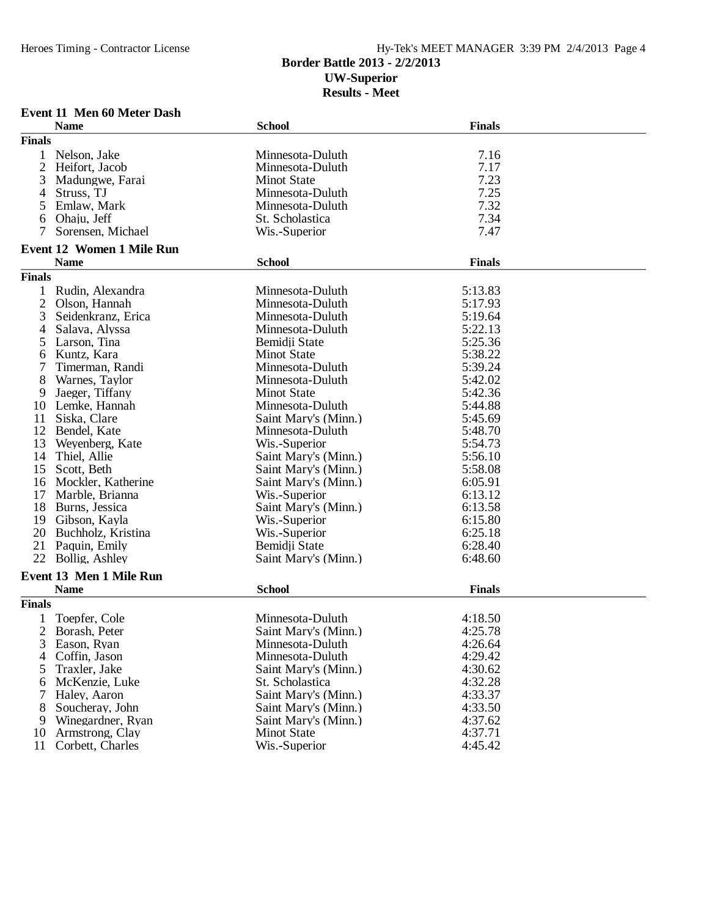## **Border Battle 2013 - 2/2/2013 UW-Superior Results - Meet**

**Event 11 Men 60 Meter Dash**

|                | <b>Name</b>                      | <b>School</b>        | <b>Finals</b> |
|----------------|----------------------------------|----------------------|---------------|
| <b>Finals</b>  |                                  |                      |               |
|                | Nelson, Jake                     | Minnesota-Duluth     | 7.16          |
| 2              | Heifort, Jacob                   | Minnesota-Duluth     | 7.17          |
| 3              | Madungwe, Farai                  | <b>Minot State</b>   | 7.23          |
| 4              | Struss, TJ                       | Minnesota-Duluth     | 7.25          |
| 5              | Emlaw, Mark                      | Minnesota-Duluth     | 7.32          |
| 6              | Ohaju, Jeff                      | St. Scholastica      | 7.34          |
| 7              | Sorensen, Michael                | Wis.-Superior        | 7.47          |
|                | <b>Event 12 Women 1 Mile Run</b> |                      |               |
|                | <b>Name</b>                      | <b>School</b>        | <b>Finals</b> |
| <b>Finals</b>  |                                  |                      |               |
| 1              | Rudin, Alexandra                 | Minnesota-Duluth     | 5:13.83       |
| $\overline{c}$ | Olson, Hannah                    | Minnesota-Duluth     | 5:17.93       |
| 3              | Seidenkranz, Erica               | Minnesota-Duluth     | 5:19.64       |
| 4              | Salava, Alyssa                   | Minnesota-Duluth     | 5:22.13       |
| 5              | Larson, Tina                     | Bemidji State        | 5:25.36       |
| 6              | Kuntz, Kara                      | <b>Minot State</b>   | 5:38.22       |
|                | Timerman, Randi                  | Minnesota-Duluth     | 5:39.24       |
| 8              | Warnes, Taylor                   | Minnesota-Duluth     | 5:42.02       |
| 9              |                                  | <b>Minot State</b>   | 5:42.36       |
| 10             | Jaeger, Tiffany<br>Lemke, Hannah | Minnesota-Duluth     | 5:44.88       |
|                |                                  | Saint Mary's (Minn.) |               |
| 11             | Siska, Clare                     |                      | 5:45.69       |
| 12             | Bendel, Kate                     | Minnesota-Duluth     | 5:48.70       |
| 13             | Weyenberg, Kate                  | Wis.-Superior        | 5:54.73       |
| 14             | Thiel, Allie                     | Saint Mary's (Minn.) | 5:56.10       |
| 15             | Scott, Beth                      | Saint Mary's (Minn.) | 5:58.08       |
| 16             | Mockler, Katherine               | Saint Mary's (Minn.) | 6:05.91       |
| 17             | Marble, Brianna                  | Wis.-Superior        | 6:13.12       |
| 18             | Burns, Jessica                   | Saint Mary's (Minn.) | 6:13.58       |
| 19             | Gibson, Kayla                    | Wis.-Superior        | 6:15.80       |
| 20             | Buchholz, Kristina               | Wis.-Superior        | 6:25.18       |
| 21             | Paquin, Emily                    | Bemidji State        | 6:28.40       |
|                | 22 Bollig, Ashley                | Saint Mary's (Minn.) | 6:48.60       |
|                | Event 13 Men 1 Mile Run          |                      |               |
|                | <b>Name</b>                      | <b>School</b>        | <b>Finals</b> |
| <b>Finals</b>  |                                  |                      |               |
|                | Toepfer, Cole                    | Minnesota-Duluth     | 4:18.50       |
| $\overline{2}$ | Borash, Peter                    | Saint Mary's (Minn.) | 4:25.78       |
| 3              | Eason, Ryan                      | Minnesota-Duluth     | 4:26.64       |
| 4              | Coffin, Jason                    | Minnesota-Duluth     | 4:29.42       |
| 5              | Traxler, Jake                    | Saint Mary's (Minn.) | 4:30.62       |
| 6              | McKenzie, Luke                   | St. Scholastica      | 4:32.28       |
| 7              | Haley, Aaron                     | Saint Mary's (Minn.) | 4:33.37       |
| 8              | Soucheray, John                  | Saint Mary's (Minn.) | 4:33.50       |
| 9              | Winegardner, Ryan                | Saint Mary's (Minn.) | 4:37.62       |
| 10             | Armstrong, Clay                  | <b>Minot State</b>   | 4:37.71       |
| 11             | Corbett, Charles                 | Wis.-Superior        | 4:45.42       |
|                |                                  |                      |               |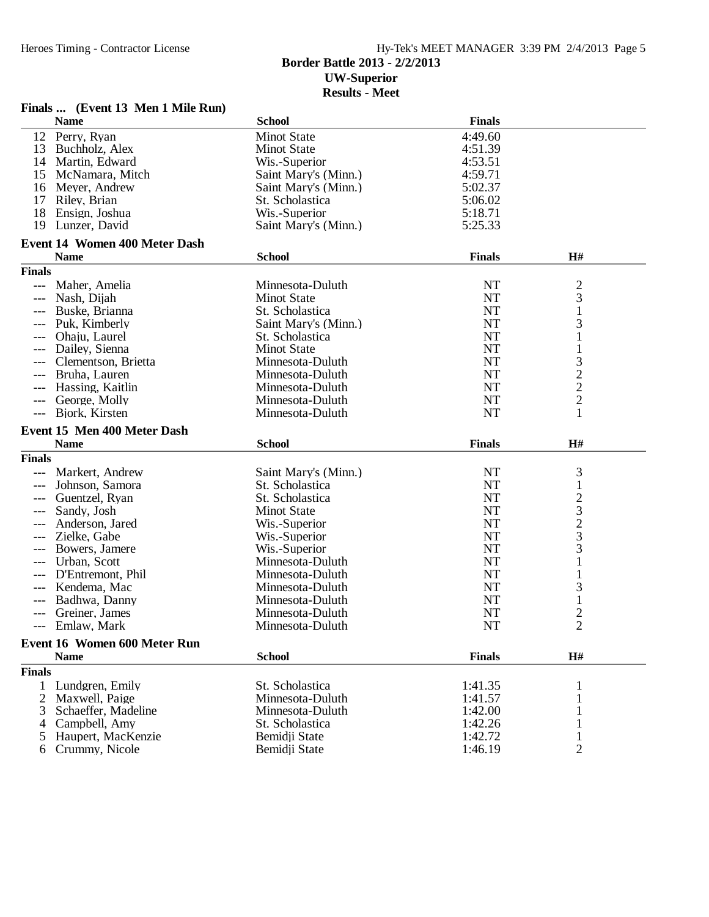## Heroes Timing - Contractor License Hy-Tek's MEET MANAGER 3:39 PM 2/4/2013 Page 5

#### **Border Battle 2013 - 2/2/2013 UW-Superior Results - Meet**

#### **Finals ... (Event 13 Men 1 Mile Run) Name School Finals** 12 Perry, Ryan Minot State 4:49.60 13 Buchholz, Alex Minot State 4:51.39 14 Martin, Edward **Michael Michael Wis.-Superior** 4:53.51 4:53.51 and 4:53.51 4:53.51 and 4:59.71 and 4:59.71 and 4:59.71 and 4:59.71 and 4:59.71 and 4:59.71 and 4:59.71 and 4:59.71 and 4:59.71 and 4:59.71 and 4:59.71 and 15 McNamara, Mitch Saint Mary's (Minn.) 4:59.71<br>16 Meyer, Andrew Saint Mary's (Minn.) 5:02.37 16 Meyer, Andrew Saint Mary's (Minn.) 5:02.37<br>17 Riley. Brian St. Scholastica 5:06.02 17 Riley, Brian St. Scholastica 5:06.02<br>
18 Ensign, Joshua St. Superior St. Scholastica 5:18.71 18 Ensign, Joshua<br>19 Lunzer, David **19 Saint Mary's (Minn.)** 5:25.33 **Event 14 Women 400 Meter Dash Name School Finals H# Finals** --- Maher, Amelia Minnesota-Duluth NT 2 -- Nash, Dijah Minot State NT 3 --- Buske, Brianna St. Scholastica NT 1 Puk, Kimberly Saint Mary's (Minn.) NT 3<br>
Ohaiu. Laurel St. Scholastica NT 1 --- Ohaju, Laurel St. Scholastica NT <sup>1</sup> --- Dailey, Sienna Minot State NT <sup>1</sup> --- Clementson, Brietta Minnesota-Duluth NT 3 --- Bruha, Lauren Minnesota-Duluth NT 2 --- Hassing, Kaitlin Minnesota-Duluth NT 2 Minnesota-Duluth 1997 NT 2<br>1 Minnesota-Duluth 1 --- Bjork, Kirsten **Event 15 Men 400 Meter Dash Name School Finals H# Finals** --- Markert, Andrew Saint Mary's (Minn.) 1988 NT 3<br>--- Johnson, Samora 1988, St. Scholastica 2008, NT 3 --- Johnson, Samora St. Scholastica NT 1 --- Guentzel, Ryan St. Scholastica NT 2<br>--- Sandy. Josh Minot State NT 3 --- Sandy, Josh Minot State NT 3 --- Anderson, Jared Wis.-Superior NT 2<br>--- Zielke, Gabe Wis.-Superior NT 3 --- Bowers, Jamere Wis.-Superior NT 3 --- Urban, Scott Minnesota-Duluth NT 1 --- D'Entremont, Phil Minnesota-Duluth NT 1 --- Kendema, Mac Minnesota-Duluth NT 3 --- Badhwa, Danny Minnesota-Duluth NT <sup>1</sup> --- Greiner, James Minnesota-Duluth NT <sup>2</sup> --- Emlaw, Mark Minnesota-Duluth NT 2 **Event 16 Women 600 Meter Run Name School Finals H# Finals** 1 Lundgren, Emily St. Scholastica 1:41.35 1 2 Maxwell, Paige Minnesota-Duluth 1:41.57 1 Schaeffer, Madeline Minnesota-Duluth 1:42.00 1<br>
Campbell, Amy St. Scholastica 1:42.26 1 4 Campbell, Amy St. Scholastica 1:42.26 5 Haupert, MacKenzie Bemidji State 1:42.72 1

6 Crummy, Nicole Bemidji State 1:46.19 2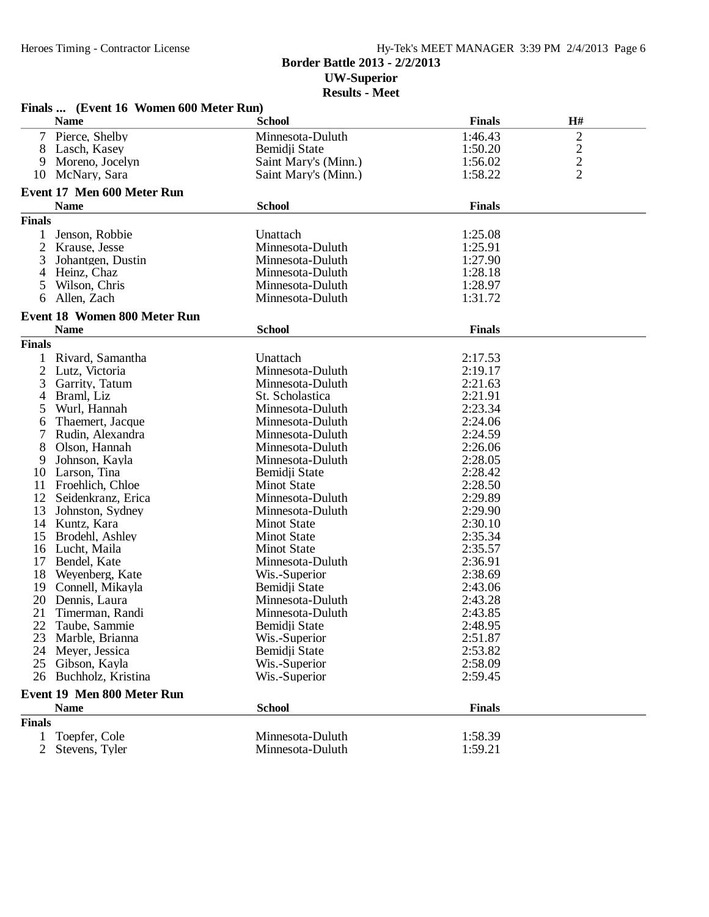## **Border Battle 2013 - 2/2/2013 UW-Superior Results - Meet**

|                | Finals  (Event 16 Women 600 Meter Run) |                      |               |                |
|----------------|----------------------------------------|----------------------|---------------|----------------|
|                | <b>Name</b>                            | <b>School</b>        | <b>Finals</b> | H#             |
| $\tau$         | Pierce, Shelby                         | Minnesota-Duluth     | 1:46.43       | $\overline{c}$ |
| 8              | Lasch, Kasey                           | Bemidji State        | 1:50.20       | $\overline{c}$ |
| 9              | Moreno, Jocelyn                        | Saint Mary's (Minn.) | 1:56.02       |                |
| 10             | McNary, Sara                           | Saint Mary's (Minn.) | 1:58.22       | $\frac{2}{2}$  |
|                | Event 17 Men 600 Meter Run             |                      |               |                |
|                | <b>Name</b>                            | <b>School</b>        | <b>Finals</b> |                |
| <b>Finals</b>  |                                        |                      |               |                |
|                | Jenson, Robbie                         | Unattach             | 1:25.08       |                |
| 2              | Krause, Jesse                          | Minnesota-Duluth     | 1:25.91       |                |
| 3              | Johantgen, Dustin                      | Minnesota-Duluth     | 1:27.90       |                |
| 4              | Heinz, Chaz                            | Minnesota-Duluth     | 1:28.18       |                |
| 5              | Wilson, Chris                          | Minnesota-Duluth     | 1:28.97       |                |
| 6              | Allen, Zach                            | Minnesota-Duluth     | 1:31.72       |                |
|                |                                        |                      |               |                |
|                | Event 18 Women 800 Meter Run           |                      |               |                |
|                | <b>Name</b>                            | <b>School</b>        | <b>Finals</b> |                |
| <b>Finals</b>  |                                        |                      |               |                |
| 1              | Rivard, Samantha                       | Unattach             | 2:17.53       |                |
| 2              | Lutz, Victoria                         | Minnesota-Duluth     | 2:19.17       |                |
| 3              | Garrity, Tatum                         | Minnesota-Duluth     | 2:21.63       |                |
| 4              | Braml, Liz                             | St. Scholastica      | 2:21.91       |                |
| 5              | Wurl, Hannah                           | Minnesota-Duluth     | 2:23.34       |                |
| 6              | Thaemert, Jacque                       | Minnesota-Duluth     | 2:24.06       |                |
| 7              | Rudin, Alexandra                       | Minnesota-Duluth     | 2:24.59       |                |
| 8              | Olson, Hannah                          | Minnesota-Duluth     | 2:26.06       |                |
| 9              | Johnson, Kayla                         | Minnesota-Duluth     | 2:28.05       |                |
| 10             | Larson, Tina                           | Bemidji State        | 2:28.42       |                |
| 11             | Froehlich, Chloe                       | <b>Minot State</b>   | 2:28.50       |                |
| 12             | Seidenkranz, Erica                     | Minnesota-Duluth     | 2:29.89       |                |
| 13             | Johnston, Sydney                       | Minnesota-Duluth     | 2:29.90       |                |
| 14             | Kuntz, Kara                            | <b>Minot State</b>   | 2:30.10       |                |
| 15             | Brodehl, Ashley                        | <b>Minot State</b>   | 2:35.34       |                |
| 16             | Lucht, Maila                           | <b>Minot State</b>   | 2:35.57       |                |
| 17             | Bendel, Kate                           | Minnesota-Duluth     | 2:36.91       |                |
| 18             | Weyenberg, Kate                        | Wis.-Superior        | 2:38.69       |                |
| 19             | Connell, Mikayla                       | Bemidji State        | 2:43.06       |                |
| 20             | Dennis, Laura                          | Minnesota-Duluth     | 2:43.28       |                |
| 21             | Timerman, Randi                        | Minnesota-Duluth     | 2:43.85       |                |
|                | 22 Taube, Sammie                       | Bemidji State        | 2:48.95       |                |
| 23             | Marble, Brianna                        | Wis.-Superior        | 2:51.87       |                |
|                | 24 Meyer, Jessica                      | Bemidji State        | 2:53.82       |                |
|                | 25 Gibson, Kayla                       | Wis.-Superior        | 2:58.09       |                |
| 26             | Buchholz, Kristina                     | Wis.-Superior        | 2:59.45       |                |
|                | Event 19 Men 800 Meter Run             |                      |               |                |
|                | <b>Name</b>                            | <b>School</b>        | <b>Finals</b> |                |
| <b>Finals</b>  |                                        |                      |               |                |
| 1              | Toepfer, Cole                          | Minnesota-Duluth     | 1:58.39       |                |
| $\overline{2}$ | Stevens, Tyler                         | Minnesota-Duluth     | 1:59.21       |                |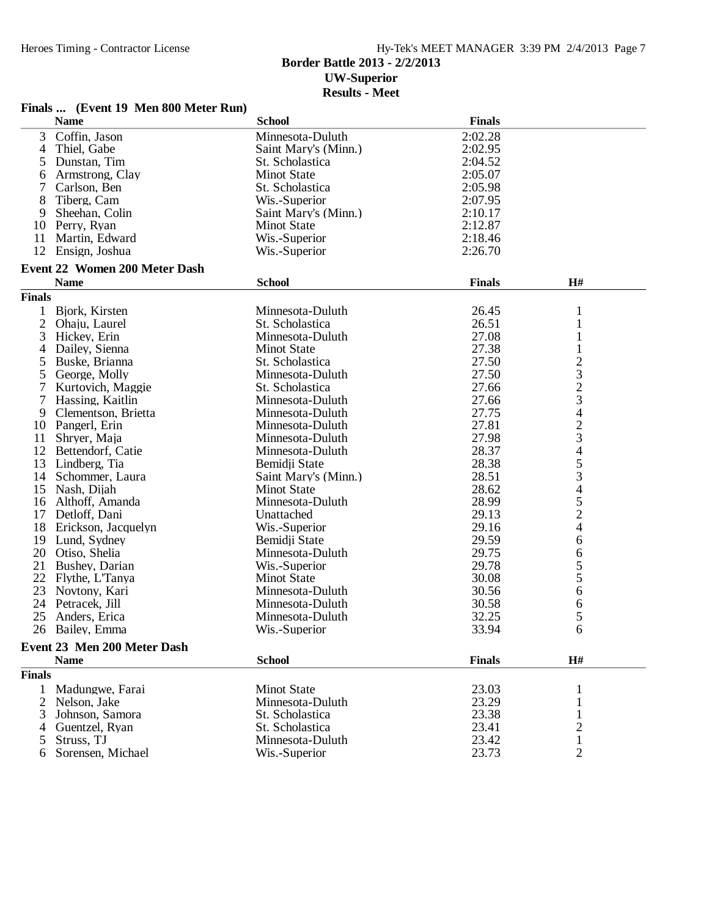## **Border Battle 2013 - 2/2/2013 UW-Superior**

**Results - Meet**

|               | Finals  (Event 19 Men 800 Meter Run) |                      |               |                          |  |  |
|---------------|--------------------------------------|----------------------|---------------|--------------------------|--|--|
|               | <b>Name</b>                          | <b>School</b>        | <b>Finals</b> |                          |  |  |
| 3             | Coffin, Jason                        | Minnesota-Duluth     | 2:02.28       |                          |  |  |
| 4             | Thiel, Gabe                          | Saint Mary's (Minn.) | 2:02.95       |                          |  |  |
| 5             | Dunstan, Tim                         | St. Scholastica      | 2:04.52       |                          |  |  |
| 6             | Armstrong, Clay                      | <b>Minot State</b>   | 2:05.07       |                          |  |  |
| 7             | Carlson, Ben                         | St. Scholastica      | 2:05.98       |                          |  |  |
| 8             | Tiberg, Cam                          | Wis.-Superior        | 2:07.95       |                          |  |  |
| 9             | Sheehan, Colin                       | Saint Mary's (Minn.) | 2:10.17       |                          |  |  |
|               | 10 Perry, Ryan                       | <b>Minot State</b>   | 2:12.87       |                          |  |  |
| 11            | Martin, Edward                       | Wis.-Superior        | 2:18.46       |                          |  |  |
|               | 12 Ensign, Joshua                    | Wis.-Superior        | 2:26.70       |                          |  |  |
|               |                                      |                      |               |                          |  |  |
|               | <b>Event 22 Women 200 Meter Dash</b> |                      |               |                          |  |  |
|               | <b>Name</b>                          | <b>School</b>        | <b>Finals</b> | H#                       |  |  |
| <b>Finals</b> |                                      |                      |               |                          |  |  |
| 1             | Bjork, Kirsten                       | Minnesota-Duluth     | 26.45         | $\mathbf{1}$             |  |  |
| 2             | Ohaju, Laurel                        | St. Scholastica      | 26.51         | 1                        |  |  |
| 3             | Hickey, Erin                         | Minnesota-Duluth     | 27.08         | 1                        |  |  |
| 4             | Dailey, Sienna                       | <b>Minot State</b>   | 27.38         | 1                        |  |  |
| 5             | Buske, Brianna                       | St. Scholastica      | 27.50         | $rac{2}{3}$              |  |  |
| 5             | George, Molly                        | Minnesota-Duluth     | 27.50         |                          |  |  |
| 7             | Kurtovich, Maggie                    | St. Scholastica      | 27.66         | $\frac{2}{3}$            |  |  |
| 7             | Hassing, Kaitlin                     | Minnesota-Duluth     | 27.66         |                          |  |  |
| 9             | Clementson, Brietta                  | Minnesota-Duluth     | 27.75         | $\overline{\mathcal{L}}$ |  |  |
|               | 10 Pangerl, Erin                     | Minnesota-Duluth     | 27.81         |                          |  |  |
| 11            | Shryer, Maja                         | Minnesota-Duluth     | 27.98         | $\frac{2}{3}$            |  |  |
|               | 12 Bettendorf, Catie                 | Minnesota-Duluth     | 28.37         | $\overline{\mathcal{L}}$ |  |  |
| 13            | Lindberg, Tia                        | Bemidji State        | 28.38         |                          |  |  |
| 14            | Schommer, Laura                      | Saint Mary's (Minn.) | 28.51         | $rac{5}{3}$              |  |  |
| 15            | Nash, Dijah                          | <b>Minot State</b>   | 28.62         | $\overline{\mathcal{L}}$ |  |  |
|               | 16 Althoff, Amanda                   | Minnesota-Duluth     | 28.99         | 5                        |  |  |
|               | 17 Detloff, Dani                     | Unattached           | 29.13         | $\overline{c}$           |  |  |
|               | 18 Erickson, Jacquelyn               | Wis.-Superior        | 29.16         | $\overline{4}$           |  |  |
|               | 19 Lund, Sydney                      | Bemidji State        | 29.59         | 6                        |  |  |
| 20            | Otiso, Shelia                        | Minnesota-Duluth     | 29.75         | 6                        |  |  |
| 21            | Bushey, Darian                       | Wis.-Superior        | 29.78         | 5                        |  |  |
|               | 22 Flythe, L'Tanya                   | <b>Minot State</b>   | 30.08         | 5                        |  |  |
| 23            | Novtony, Kari                        | Minnesota-Duluth     | 30.56         | 6                        |  |  |
|               | 24 Petracek, Jill                    | Minnesota-Duluth     | 30.58         | 6                        |  |  |
|               | 25 Anders, Erica                     | Minnesota-Duluth     | 32.25         | 5                        |  |  |
|               | 26 Bailey, Emma                      | Wis.-Superior        | 33.94         | 6                        |  |  |
|               |                                      |                      |               |                          |  |  |
|               | Event 23 Men 200 Meter Dash          |                      |               |                          |  |  |
|               | <b>Name</b>                          | <b>School</b>        | <b>Finals</b> | H#                       |  |  |
| <b>Finals</b> |                                      |                      |               |                          |  |  |
| 1             | Madungwe, Farai                      | <b>Minot State</b>   | 23.03         |                          |  |  |
| 2             | Nelson, Jake                         | Minnesota-Duluth     | 23.29         |                          |  |  |
| 3             | Johnson, Samora                      | St. Scholastica      | 23.38         |                          |  |  |
| 4             | Guentzel, Ryan                       | St. Scholastica      | 23.41         | 2                        |  |  |
| 5             | Struss, TJ                           | Minnesota-Duluth     | 23.42         | 1                        |  |  |
| 6             | Sorensen, Michael                    | Wis.-Superior        | 23.73         | 2                        |  |  |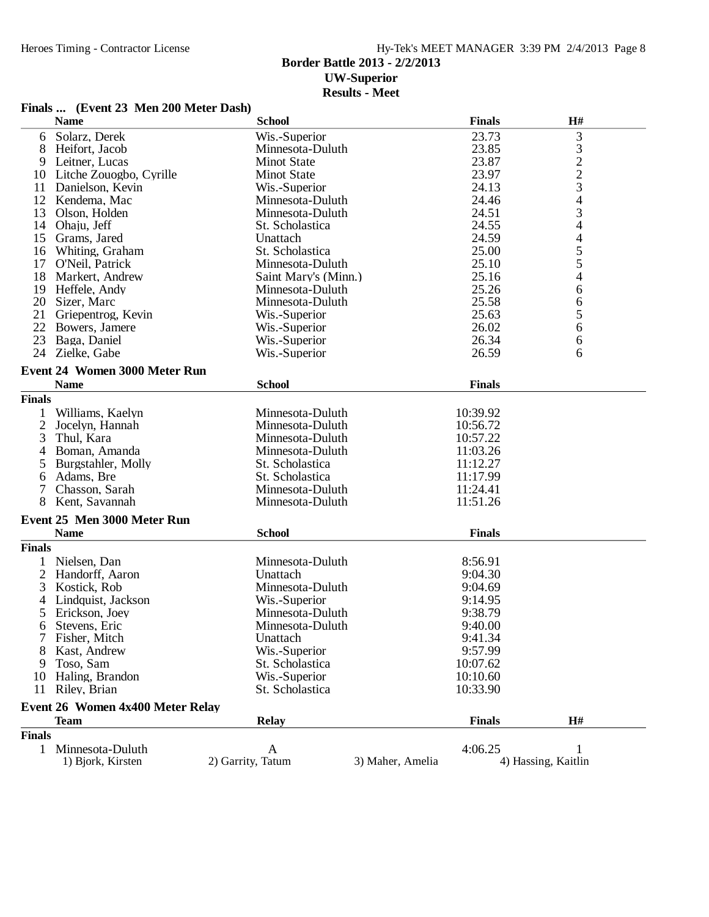## **Border Battle 2013 - 2/2/2013 UW-Superior Results - Meet**

### **Finals ... (Event 23 Men 200 Meter Dash)**

|                | <b>Name</b>                          | <b>School</b>        |                  | <b>Finals</b> | H#                                         |
|----------------|--------------------------------------|----------------------|------------------|---------------|--------------------------------------------|
| 6              | Solarz, Derek                        | Wis.-Superior        |                  | 23.73         | 3                                          |
| 8              | Heifort, Jacob                       | Minnesota-Duluth     |                  | 23.85         |                                            |
| 9              | Leitner, Lucas                       | <b>Minot State</b>   |                  | 23.87         | $\begin{array}{c} 3 \\ 2 \\ 3 \end{array}$ |
| 10             | Litche Zouogbo, Cyrille              | <b>Minot State</b>   |                  | 23.97         |                                            |
| 11             | Danielson, Kevin                     | Wis.-Superior        |                  | 24.13         |                                            |
| 12             | Kendema, Mac                         | Minnesota-Duluth     |                  | 24.46         | 4                                          |
| 13             | Olson, Holden                        | Minnesota-Duluth     |                  | 24.51         | 3                                          |
| 14             | Ohaju, Jeff                          | St. Scholastica      |                  | 24.55         | 4                                          |
| 15             | Grams, Jared                         | Unattach             |                  | 24.59         | 4                                          |
| 16             | Whiting, Graham                      | St. Scholastica      |                  | 25.00         | 5                                          |
| 17             | O'Neil, Patrick                      | Minnesota-Duluth     |                  | 25.10         | 5                                          |
| 18             | Markert, Andrew                      | Saint Mary's (Minn.) |                  | 25.16         | $\overline{\mathcal{L}}$                   |
| 19             | Heffele, Andy                        | Minnesota-Duluth     |                  | 25.26         | 6                                          |
|                | 20 Sizer, Marc                       | Minnesota-Duluth     |                  | 25.58         |                                            |
| 21             |                                      |                      |                  | 25.63         | 6                                          |
|                | Griepentrog, Kevin                   | Wis.-Superior        |                  |               | 5                                          |
| 22             | Bowers, Jamere                       | Wis.-Superior        |                  | 26.02         | 6                                          |
| 23             | Baga, Daniel                         | Wis.-Superior        |                  | 26.34         | 6                                          |
| 24             | Zielke, Gabe                         | Wis.-Superior        |                  | 26.59         | 6                                          |
|                | <b>Event 24 Women 3000 Meter Run</b> |                      |                  |               |                                            |
|                | <b>Name</b>                          | <b>School</b>        |                  | <b>Finals</b> |                                            |
| <b>Finals</b>  |                                      |                      |                  |               |                                            |
| 1              | Williams, Kaelyn                     | Minnesota-Duluth     |                  | 10:39.92      |                                            |
| $\overline{c}$ | Jocelyn, Hannah                      | Minnesota-Duluth     |                  | 10:56.72      |                                            |
| 3              | Thul, Kara                           | Minnesota-Duluth     |                  | 10:57.22      |                                            |
| 4              | Boman, Amanda                        | Minnesota-Duluth     |                  | 11:03.26      |                                            |
| 5              | Burgstahler, Molly                   | St. Scholastica      |                  | 11:12.27      |                                            |
| 6              | Adams, Bre                           | St. Scholastica      |                  | 11:17.99      |                                            |
| 7              | Chasson, Sarah                       | Minnesota-Duluth     |                  | 11:24.41      |                                            |
| 8              | Kent, Savannah                       | Minnesota-Duluth     |                  | 11:51.26      |                                            |
|                |                                      |                      |                  |               |                                            |
|                | Event 25 Men 3000 Meter Run          |                      |                  |               |                                            |
|                | <b>Name</b>                          | <b>School</b>        |                  | <b>Finals</b> |                                            |
| <b>Finals</b>  |                                      |                      |                  |               |                                            |
| 1              | Nielsen, Dan                         | Minnesota-Duluth     |                  | 8:56.91       |                                            |
| $\overline{2}$ | Handorff, Aaron                      | Unattach             |                  | 9:04.30       |                                            |
| 3              | Kostick, Rob                         | Minnesota-Duluth     |                  | 9:04.69       |                                            |
| 4              | Lindquist, Jackson                   | Wis.-Superior        |                  | 9:14.95       |                                            |
| 5              | Erickson, Joey                       | Minnesota-Duluth     |                  | 9:38.79       |                                            |
| 6              | Stevens, Eric                        | Minnesota-Duluth     |                  | 9:40.00       |                                            |
|                | Fisher, Mitch                        | Unattach             |                  | 9:41.34       |                                            |
| 8              | Kast, Andrew                         | Wis.-Superior        |                  | 9:57.99       |                                            |
| 9              | Toso, Sam                            | St. Scholastica      |                  | 10:07.62      |                                            |
| 10             | Haling, Brandon                      | Wis.-Superior        |                  | 10:10.60      |                                            |
|                | 11 Riley, Brian                      | St. Scholastica      |                  | 10:33.90      |                                            |
|                |                                      |                      |                  |               |                                            |
|                | Event 26 Women 4x400 Meter Relay     |                      |                  |               |                                            |
|                | <b>Team</b>                          | <b>Relay</b>         |                  | <b>Finals</b> | H#                                         |
| <b>Finals</b>  |                                      |                      |                  |               |                                            |
| 1              | Minnesota-Duluth                     | A                    |                  | 4:06.25       |                                            |
|                | 1) Bjork, Kirsten                    | 2) Garrity, Tatum    | 3) Maher, Amelia |               | 4) Hassing, Kaitlin                        |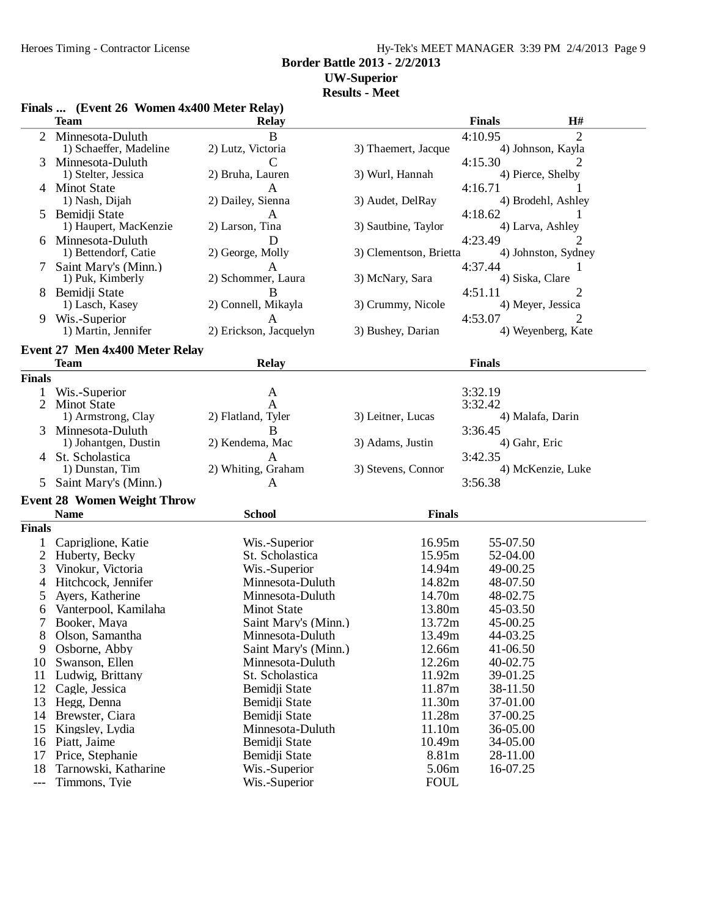### Hy-Tek's MEET MANAGER 3:39 PM 2/4/2013 Page 9 **Border Battle 2013 - 2/2/2013**

## **UW-Superior**

#### **Results - Meet**

|                | Finals  (Event 26 Women 4x400 Meter Relay) |                                          |                        |                      |                     |
|----------------|--------------------------------------------|------------------------------------------|------------------------|----------------------|---------------------|
|                | <b>Team</b>                                | <b>Relay</b>                             |                        | <b>Finals</b>        | H#                  |
| 2              | Minnesota-Duluth                           | B                                        |                        | 4:10.95              | 2                   |
|                | 1) Schaeffer, Madeline                     | 2) Lutz, Victoria                        | 3) Thaemert, Jacque    |                      | 4) Johnson, Kayla   |
| 3              | Minnesota-Duluth                           | C                                        |                        | 4:15.30              | 2                   |
|                | 1) Stelter, Jessica                        | 2) Bruha, Lauren                         | 3) Wurl, Hannah        |                      | 4) Pierce, Shelby   |
|                | 4 Minot State                              | A                                        |                        | 4:16.71              |                     |
|                | 1) Nash, Dijah                             | 2) Dailey, Sienna                        | 3) Audet, DelRay       |                      | 4) Brodehl, Ashley  |
| 5              | Bemidji State<br>1) Haupert, MacKenzie     | A<br>2) Larson, Tina                     | 3) Sautbine, Taylor    | 4:18.62              | 4) Larva, Ashley    |
|                | 6 Minnesota-Duluth                         | D                                        |                        | 4:23.49              | 2.                  |
|                | 1) Bettendorf, Catie                       | 2) George, Molly                         | 3) Clementson, Brietta |                      | 4) Johnston, Sydney |
| 7              | Saint Mary's (Minn.)                       | A                                        |                        | 4:37.44              |                     |
|                | 1) Puk, Kimberly                           | 2) Schommer, Laura                       | 3) McNary, Sara        |                      | 4) Siska, Clare     |
|                | Bemidji State                              | B                                        |                        | 4:51.11              | 2                   |
|                | 1) Lasch, Kasey                            | 2) Connell, Mikayla                      | 3) Crummy, Nicole      |                      | 4) Meyer, Jessica   |
| 9              | Wis.-Superior                              | A                                        |                        | 4:53.07              | 2                   |
|                | 1) Martin, Jennifer                        | 2) Erickson, Jacquelyn                   | 3) Bushey, Darian      |                      | 4) Weyenberg, Kate  |
|                | Event 27 Men 4x400 Meter Relay             |                                          |                        |                      |                     |
|                | <b>Team</b>                                | <b>Relay</b>                             |                        | <b>Finals</b>        |                     |
| <b>Finals</b>  |                                            |                                          |                        |                      |                     |
| 1              | Wis.-Superior                              | A                                        |                        | 3:32.19              |                     |
| $\overline{2}$ | <b>Minot State</b>                         | A                                        |                        | 3:32.42              |                     |
|                | 1) Armstrong, Clay                         | 2) Flatland, Tyler                       | 3) Leitner, Lucas      |                      | 4) Malafa, Darin    |
| 3              | Minnesota-Duluth                           | B                                        |                        | 3:36.45              |                     |
|                | 1) Johantgen, Dustin                       | 2) Kendema, Mac                          | 3) Adams, Justin       |                      | 4) Gahr, Eric       |
|                | 4 St. Scholastica                          | A                                        |                        | 3:42.35              |                     |
|                | 1) Dunstan, Tim                            | 2) Whiting, Graham                       | 3) Stevens, Connor     |                      | 4) McKenzie, Luke   |
|                | Saint Mary's (Minn.)                       | A                                        |                        | 3:56.38              |                     |
|                | <b>Event 28 Women Weight Throw</b>         |                                          |                        |                      |                     |
|                | <b>Name</b>                                | <b>School</b>                            | <b>Finals</b>          |                      |                     |
| <b>Finals</b>  |                                            |                                          |                        |                      |                     |
|                | Capriglione, Katie                         | Wis.-Superior                            | 16.95m                 | 55-07.50             |                     |
| $\overline{2}$ | Huberty, Becky                             | St. Scholastica                          | 15.95m                 | 52-04.00             |                     |
| 3              | Vinokur, Victoria                          | Wis.-Superior                            | 14.94m                 | 49-00.25             |                     |
| 4              | Hitchcock, Jennifer                        | Minnesota-Duluth                         | 14.82m                 | 48-07.50             |                     |
| 5              | Ayers, Katherine                           | Minnesota-Duluth                         | 14.70m                 | 48-02.75             |                     |
| 6              | Vanterpool, Kamilaha                       | <b>Minot State</b>                       | 13.80m                 | 45-03.50             |                     |
|                | Booker, Maya                               | Saint Mary's (Minn.)                     | 13.72m                 | 45-00.25             |                     |
| 8              | Olson, Samantha                            | Minnesota-Duluth                         | 13.49m                 | 44-03.25             |                     |
| 9              | Osborne, Abby                              | Saint Mary's (Minn.)<br>Minnesota-Duluth | 12.66m<br>12.26m       | 41-06.50             |                     |
| 10<br>11       | Swanson, Ellen<br>Ludwig, Brittany         | St. Scholastica                          | 11.92m                 | 40-02.75<br>39-01.25 |                     |
| 12             | Cagle, Jessica                             | Bemidji State                            | 11.87m                 | 38-11.50             |                     |
| 13             | Hegg, Denna                                | Bemidji State                            | 11.30m                 | 37-01.00             |                     |
| 14             | Brewster, Ciara                            | Bemidji State                            | 11.28m                 | 37-00.25             |                     |
| 15             | Kingsley, Lydia                            | Minnesota-Duluth                         | 11.10m                 | 36-05.00             |                     |
| 16             | Piatt, Jaime                               | Bemidii State                            | 10.49m                 | 34-05.00             |                     |
| 17             | Price, Stephanie                           | Bemidji State                            | 8.81m                  | 28-11.00             |                     |
| 18             | Tarnowski, Katharine                       | Wis.-Superior                            | 5.06m                  | 16-07.25             |                     |
| $---$          | Timmons, Tyie                              | Wis.-Superior                            | <b>FOUL</b>            |                      |                     |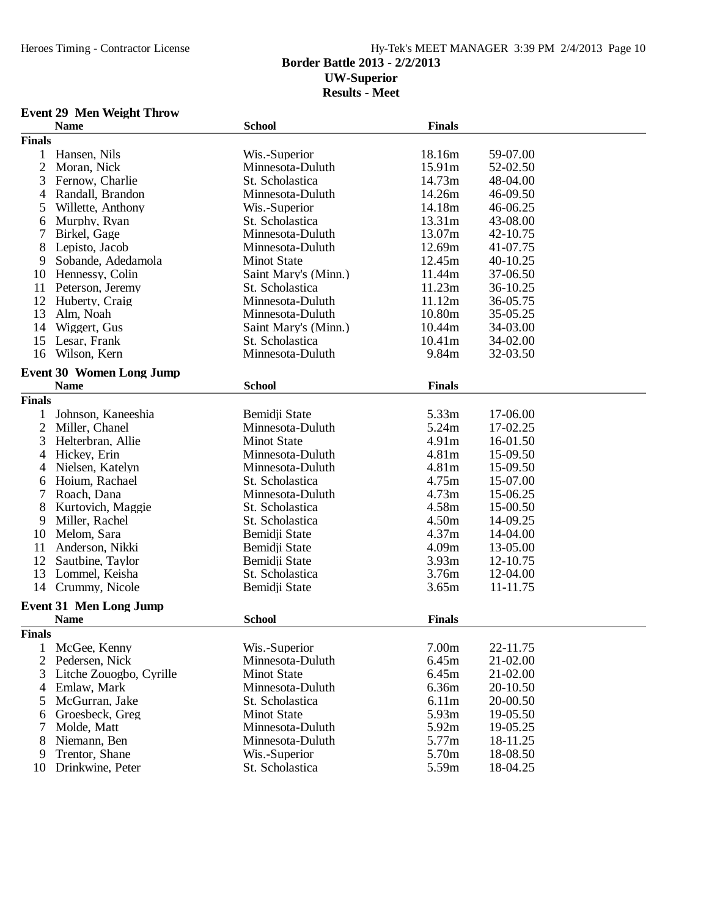## **Border Battle 2013 - 2/2/2013 UW-Superior**

**Results - Meet**

#### **Event 29 Men Weight Throw**

|                | <b>Name</b>                     | <b>School</b>        | <b>Finals</b>     |          |
|----------------|---------------------------------|----------------------|-------------------|----------|
| <b>Finals</b>  |                                 |                      |                   |          |
| $\mathbf{1}$   | Hansen, Nils                    | Wis.-Superior        | 18.16m            | 59-07.00 |
| $\mathfrak{2}$ | Moran, Nick                     | Minnesota-Duluth     | 15.91m            | 52-02.50 |
| 3              | Fernow, Charlie                 | St. Scholastica      | 14.73m            | 48-04.00 |
| 4              | Randall, Brandon                | Minnesota-Duluth     | 14.26m            | 46-09.50 |
| 5              | Willette, Anthony               | Wis.-Superior        | 14.18m            | 46-06.25 |
| 6              | Murphy, Ryan                    | St. Scholastica      | 13.31m            | 43-08.00 |
| 7              | Birkel, Gage                    | Minnesota-Duluth     | 13.07m            | 42-10.75 |
| 8              | Lepisto, Jacob                  | Minnesota-Duluth     | 12.69m            | 41-07.75 |
| 9              | Sobande, Adedamola              | <b>Minot State</b>   | 12.45m            | 40-10.25 |
| 10             | Hennessy, Colin                 | Saint Mary's (Minn.) | 11.44m            | 37-06.50 |
| 11             | Peterson, Jeremy                | St. Scholastica      | 11.23m            | 36-10.25 |
| 12             | Huberty, Craig                  | Minnesota-Duluth     | 11.12m            | 36-05.75 |
| 13             | Alm, Noah                       | Minnesota-Duluth     | 10.80m            | 35-05.25 |
| 14             | Wiggert, Gus                    | Saint Mary's (Minn.) | 10.44m            | 34-03.00 |
| 15             | Lesar, Frank                    | St. Scholastica      | 10.41m            | 34-02.00 |
|                |                                 |                      | 9.84m             | 32-03.50 |
| 16             | Wilson, Kern                    | Minnesota-Duluth     |                   |          |
|                | <b>Event 30 Women Long Jump</b> |                      |                   |          |
|                | <b>Name</b>                     | <b>School</b>        | <b>Finals</b>     |          |
| <b>Finals</b>  |                                 |                      |                   |          |
|                | Johnson, Kaneeshia              | Bemidji State        | 5.33m             | 17-06.00 |
| $\overline{2}$ | Miller, Chanel                  | Minnesota-Duluth     | 5.24m             | 17-02.25 |
| 3              | Helterbran, Allie               | <b>Minot State</b>   | 4.91m             | 16-01.50 |
| $\overline{4}$ | Hickey, Erin                    | Minnesota-Duluth     | 4.81m             | 15-09.50 |
| 4              | Nielsen, Katelyn                | Minnesota-Duluth     | 4.81m             | 15-09.50 |
| 6              | Hoium, Rachael                  | St. Scholastica      | 4.75m             | 15-07.00 |
| 7              | Roach, Dana                     | Minnesota-Duluth     | 4.73m             | 15-06.25 |
| 8              | Kurtovich, Maggie               | St. Scholastica      | 4.58m             | 15-00.50 |
| 9              | Miller, Rachel                  | St. Scholastica      | 4.50m             | 14-09.25 |
| 10             | Melom, Sara                     | Bemidji State        | 4.37m             | 14-04.00 |
| 11             | Anderson, Nikki                 | Bemidji State        | 4.09m             | 13-05.00 |
| 12             | Sautbine, Taylor                | Bemidji State        | 3.93m             | 12-10.75 |
| 13             | Lommel, Keisha                  | St. Scholastica      | 3.76m             | 12-04.00 |
| 14             | Crummy, Nicole                  | Bemidji State        | 3.65m             | 11-11.75 |
|                |                                 |                      |                   |          |
|                | <b>Event 31 Men Long Jump</b>   |                      |                   |          |
|                | <b>Name</b>                     | <b>School</b>        | <b>Finals</b>     |          |
| <b>Finals</b>  |                                 |                      |                   |          |
| 1              | McGee, Kenny                    | Wis.-Superior        | 7.00 <sub>m</sub> | 22-11.75 |
| $\overline{2}$ | Pedersen, Nick                  | Minnesota-Duluth     | 6.45m             | 21-02.00 |
| 3              | Litche Zouogbo, Cyrille         | <b>Minot State</b>   | 6.45m             | 21-02.00 |
| 4              | Emlaw, Mark                     | Minnesota-Duluth     | 6.36m             | 20-10.50 |
| 5              | McGurran, Jake                  | St. Scholastica      | 6.11m             | 20-00.50 |
| 6              | Groesbeck, Greg                 | <b>Minot State</b>   | 5.93m             | 19-05.50 |
| 7              | Molde, Matt                     | Minnesota-Duluth     | 5.92m             | 19-05.25 |
| 8              | Niemann, Ben                    | Minnesota-Duluth     | 5.77m             | 18-11.25 |
| 9              | Trentor, Shane                  | Wis.-Superior        | 5.70m             | 18-08.50 |
| 10             | Drinkwine, Peter                | St. Scholastica      | 5.59m             | 18-04.25 |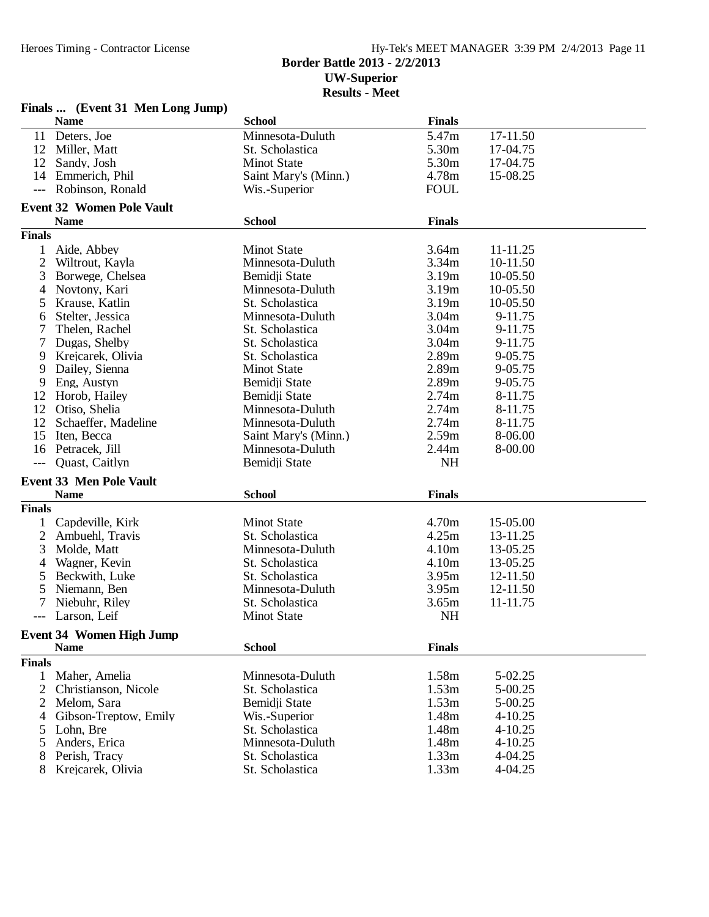## Heroes Timing - Contractor License Hy-Tek's MEET MANAGER 3:39 PM 2/4/2013 Page 11 **Border Battle 2013 - 2/2/2013 UW-Superior Results - Meet**

|               | $\mathbf{r}$ many $\mathbf{m}$ ( $\mathbf{r}$ ) vent of the non-<br><b>Name</b> | <b>School</b>        | <b>Finals</b> |          |
|---------------|---------------------------------------------------------------------------------|----------------------|---------------|----------|
|               | 11 Deters, Joe                                                                  | Minnesota-Duluth     | 5.47m         | 17-11.50 |
|               | 12 Miller, Matt                                                                 | St. Scholastica      | 5.30m         | 17-04.75 |
| 12            | Sandy, Josh                                                                     | <b>Minot State</b>   | 5.30m         | 17-04.75 |
| 14            | Emmerich, Phil                                                                  | Saint Mary's (Minn.) | 4.78m         | 15-08.25 |
| $---$         | Robinson, Ronald                                                                | Wis.-Superior        | <b>FOUL</b>   |          |
|               | <b>Event 32 Women Pole Vault</b>                                                |                      |               |          |
|               | <b>Name</b>                                                                     | <b>School</b>        | <b>Finals</b> |          |
| <b>Finals</b> |                                                                                 |                      |               |          |
| 1             | Aide, Abbey                                                                     | <b>Minot State</b>   | 3.64m         | 11-11.25 |
| $\mathbf{2}$  | Wiltrout, Kayla                                                                 | Minnesota-Duluth     | 3.34m         | 10-11.50 |
| 3             | Borwege, Chelsea                                                                | Bemidji State        | 3.19m         | 10-05.50 |
| 4             | Novtony, Kari                                                                   | Minnesota-Duluth     | 3.19m         | 10-05.50 |
| 5             | Krause, Katlin                                                                  | St. Scholastica      | 3.19m         | 10-05.50 |
| 6             | Stelter, Jessica                                                                | Minnesota-Duluth     | 3.04m         | 9-11.75  |
| 7             | Thelen, Rachel                                                                  | St. Scholastica      | 3.04m         | 9-11.75  |
| 7             | Dugas, Shelby                                                                   | St. Scholastica      | 3.04m         | 9-11.75  |
| 9             | Krejcarek, Olivia                                                               | St. Scholastica      | 2.89m         | 9-05.75  |
| 9             | Dailey, Sienna                                                                  | <b>Minot State</b>   | 2.89m         | 9-05.75  |
| 9             | Eng, Austyn                                                                     | Bemidji State        | 2.89m         | 9-05.75  |
| 12            | Horob, Hailey                                                                   | Bemidji State        | 2.74m         | 8-11.75  |
| 12            | Otiso, Shelia                                                                   | Minnesota-Duluth     | 2.74m         | 8-11.75  |
| 12            | Schaeffer, Madeline                                                             | Minnesota-Duluth     | 2.74m         | 8-11.75  |
| 15            | Iten, Becca                                                                     | Saint Mary's (Minn.) | 2.59m         | 8-06.00  |
| 16            | Petracek, Jill                                                                  | Minnesota-Duluth     | 2.44m         | 8-00.00  |
| $---$         | Quast, Caitlyn                                                                  | Bemidji State        | <b>NH</b>     |          |
|               | <b>Event 33 Men Pole Vault</b>                                                  |                      |               |          |
|               | <b>Name</b>                                                                     | <b>School</b>        | <b>Finals</b> |          |
| <b>Finals</b> |                                                                                 |                      |               |          |
| $\bf{l}$      | Capdeville, Kirk                                                                | <b>Minot State</b>   | 4.70m         | 15-05.00 |
| 2             | Ambuehl, Travis                                                                 | St. Scholastica      | 4.25m         | 13-11.25 |
| 3             | Molde, Matt                                                                     | Minnesota-Duluth     | 4.10m         | 13-05.25 |
| 4             | Wagner, Kevin                                                                   | St. Scholastica      | 4.10m         | 13-05.25 |
| 5             | Beckwith, Luke                                                                  | St. Scholastica      | 3.95m         | 12-11.50 |
| 5             | Niemann, Ben                                                                    | Minnesota-Duluth     | 3.95m         | 12-11.50 |
|               | Niebuhr, Riley                                                                  | St. Scholastica      | 3.65m         | 11-11.75 |
|               | Larson, Leif                                                                    | <b>Minot State</b>   | NH            |          |
|               | <b>Event 34 Women High Jump</b>                                                 |                      |               |          |
|               | <b>Name</b>                                                                     | <b>School</b>        | <b>Finals</b> |          |
| <b>Finals</b> |                                                                                 |                      |               |          |
| $\mathbf{1}$  | Maher, Amelia                                                                   | Minnesota-Duluth     | 1.58m         | 5-02.25  |
| 2             | Christianson, Nicole                                                            | St. Scholastica      | 1.53m         | 5-00.25  |
| 2             | Melom, Sara                                                                     | Bemidji State        | 1.53m         | 5-00.25  |
| 4             | Gibson-Treptow, Emily                                                           | Wis.-Superior        | 1.48m         | 4-10.25  |
| 5             | Lohn, Bre                                                                       | St. Scholastica      | 1.48m         | 4-10.25  |
| 5             | Anders, Erica                                                                   | Minnesota-Duluth     | 1.48m         | 4-10.25  |
| 8             | Perish, Tracy                                                                   | St. Scholastica      | 1.33m         | 4-04.25  |
| 8             | Krejcarek, Olivia                                                               | St. Scholastica      | 1.33m         | 4-04.25  |

# **Finals ... (Event 31 Men Long Jump)**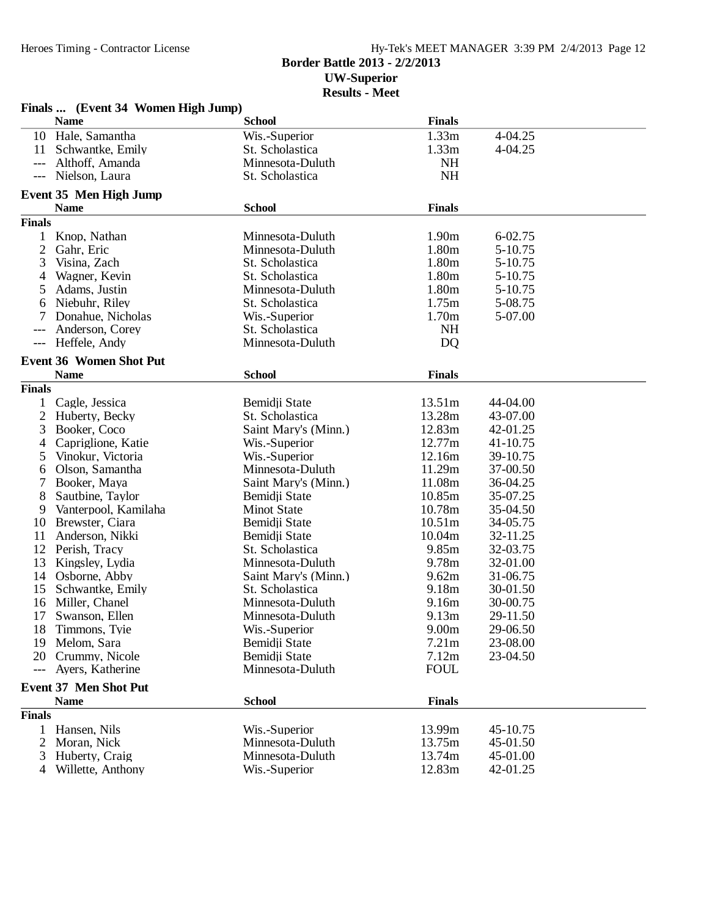## Hy-Tek's MEET MANAGER 3:39 PM 2/4/2013 Page 12 **Border Battle 2013 - 2/2/2013 UW-Superior Results - Meet**

|                | Finals  (Event 34 Women High Jump) |                      |                   |          |
|----------------|------------------------------------|----------------------|-------------------|----------|
|                | <b>Name</b>                        | <b>School</b>        | <b>Finals</b>     |          |
|                | 10 Hale, Samantha                  | Wis.-Superior        | 1.33m             | 4-04.25  |
| 11             | Schwantke, Emily                   | St. Scholastica      | 1.33m             | 4-04.25  |
| $---$          | Althoff, Amanda                    | Minnesota-Duluth     | <b>NH</b>         |          |
| $---$          | Nielson, Laura                     | St. Scholastica      | <b>NH</b>         |          |
|                | Event 35 Men High Jump             |                      |                   |          |
|                | <b>Name</b>                        | <b>School</b>        | <b>Finals</b>     |          |
| <b>Finals</b>  |                                    |                      |                   |          |
| 1              | Knop, Nathan                       | Minnesota-Duluth     | 1.90m             | 6-02.75  |
| 2              | Gahr, Eric                         | Minnesota-Duluth     | 1.80m             | 5-10.75  |
| 3              | Visina, Zach                       | St. Scholastica      | 1.80m             | 5-10.75  |
| 4              | Wagner, Kevin                      | St. Scholastica      | 1.80m             | 5-10.75  |
| 5              | Adams, Justin                      | Minnesota-Duluth     | 1.80m             | 5-10.75  |
| 6              | Niebuhr, Riley                     | St. Scholastica      | 1.75m             | 5-08.75  |
|                | Donahue, Nicholas                  | Wis.-Superior        | 1.70m             | 5-07.00  |
|                | Anderson, Corey                    | St. Scholastica      | <b>NH</b>         |          |
| $---$          | Heffele, Andy                      | Minnesota-Duluth     | D <sub>Q</sub>    |          |
|                | <b>Event 36 Women Shot Put</b>     |                      |                   |          |
|                | <b>Name</b>                        | <b>School</b>        | <b>Finals</b>     |          |
| <b>Finals</b>  |                                    |                      |                   |          |
|                | Cagle, Jessica                     | Bemidji State        | 13.51m            | 44-04.00 |
| 2              | Huberty, Becky                     | St. Scholastica      | 13.28m            | 43-07.00 |
| 3              | Booker, Coco                       | Saint Mary's (Minn.) | 12.83m            | 42-01.25 |
| 4              | Capriglione, Katie                 | Wis.-Superior        | 12.77m            | 41-10.75 |
| 5              | Vinokur, Victoria                  | Wis.-Superior        | 12.16m            | 39-10.75 |
| 6              | Olson, Samantha                    | Minnesota-Duluth     | 11.29m            | 37-00.50 |
| 7              | Booker, Maya                       | Saint Mary's (Minn.) | 11.08m            | 36-04.25 |
| 8              | Sautbine, Taylor                   | Bemidji State        | 10.85m            | 35-07.25 |
| 9              | Vanterpool, Kamilaha               | <b>Minot State</b>   | 10.78m            | 35-04.50 |
| 10             | Brewster, Ciara                    | Bemidji State        | 10.51m            | 34-05.75 |
| 11             | Anderson, Nikki                    | Bemidji State        | 10.04m            | 32-11.25 |
| 12             | Perish, Tracy                      | St. Scholastica      | 9.85m             | 32-03.75 |
| 13             | Kingsley, Lydia                    | Minnesota-Duluth     | 9.78m             | 32-01.00 |
| 14             | Osborne, Abby                      | Saint Mary's (Minn.) | 9.62m             | 31-06.75 |
| 15             | Schwantke, Emily                   | St. Scholastica      | 9.18m             | 30-01.50 |
| 16             | Miller, Chanel                     | Minnesota-Duluth     | 9.16m             | 30-00.75 |
|                | 17 Swanson, Ellen                  | Minnesota-Duluth     | 9.13m             | 29-11.50 |
| 18             | Timmons, Tyje                      | Wis.-Superior        | 9.00 <sub>m</sub> | 29-06.50 |
| 19             | Melom, Sara                        | Bemidii State        | 7.21m             | 23-08.00 |
| 20             | Crummy, Nicole                     | Bemidji State        | 7.12m             | 23-04.50 |
| $---$          | Ayers, Katherine                   | Minnesota-Duluth     | <b>FOUL</b>       |          |
|                | <b>Event 37 Men Shot Put</b>       |                      |                   |          |
|                | <b>Name</b>                        | <b>School</b>        | <b>Finals</b>     |          |
| <b>Finals</b>  |                                    |                      |                   |          |
| 1              | Hansen, Nils                       | Wis.-Superior        | 13.99m            | 45-10.75 |
| 2              | Moran, Nick                        | Minnesota-Duluth     | 13.75m            | 45-01.50 |
| 3              | Huberty, Craig                     | Minnesota-Duluth     | 13.74m            | 45-01.00 |
| $\overline{4}$ | Willette, Anthony                  | Wis.-Superior        | 12.83m            | 42-01.25 |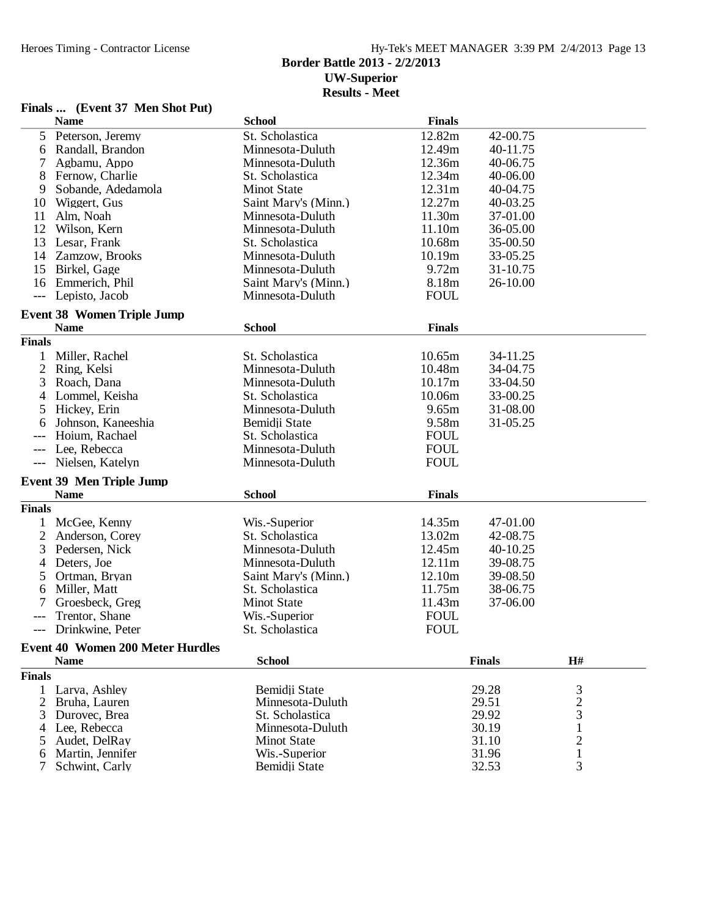## Heroes Timing - Contractor License Hy-Tek's MEET MANAGER 3:39 PM 2/4/2013 Page 13 **Border Battle 2013 - 2/2/2013 UW-Superior Results - Meet**

## **Finals ... (Event 37 Men Shot Put)**

|                     | <b>Name</b>                             | <b>School</b>                       | <b>Finals</b> |                |                     |  |
|---------------------|-----------------------------------------|-------------------------------------|---------------|----------------|---------------------|--|
| 5                   | Peterson, Jeremy                        | St. Scholastica                     | 12.82m        | 42-00.75       |                     |  |
| 6                   | Randall, Brandon                        | Minnesota-Duluth                    | 12.49m        | 40-11.75       |                     |  |
| 7                   | Agbamu, Appo                            | Minnesota-Duluth                    | 12.36m        | 40-06.75       |                     |  |
| 8                   | Fernow, Charlie                         | St. Scholastica                     | 12.34m        | 40-06.00       |                     |  |
| 9                   | Sobande, Adedamola                      | <b>Minot State</b>                  | 12.31m        | 40-04.75       |                     |  |
| 10                  | Wiggert, Gus                            | Saint Mary's (Minn.)                | 12.27m        | 40-03.25       |                     |  |
| 11                  | Alm, Noah                               | Minnesota-Duluth                    | 11.30m        | 37-01.00       |                     |  |
| 12                  | Wilson, Kern                            | Minnesota-Duluth                    | 11.10m        | 36-05.00       |                     |  |
| 13                  | Lesar, Frank                            | St. Scholastica                     | 10.68m        | 35-00.50       |                     |  |
| 14                  | Zamzow, Brooks                          | Minnesota-Duluth                    | 10.19m        | 33-05.25       |                     |  |
| 15                  | Birkel, Gage                            | Minnesota-Duluth                    | 9.72m         | 31-10.75       |                     |  |
| 16                  | Emmerich, Phil                          | Saint Mary's (Minn.)                | 8.18m         | 26-10.00       |                     |  |
| $---$               | Lepisto, Jacob                          | Minnesota-Duluth                    | <b>FOUL</b>   |                |                     |  |
|                     |                                         |                                     |               |                |                     |  |
|                     | <b>Event 38 Women Triple Jump</b>       |                                     |               |                |                     |  |
|                     | <b>Name</b>                             | <b>School</b>                       | <b>Finals</b> |                |                     |  |
| <b>Finals</b>       |                                         |                                     |               |                |                     |  |
| 1                   | Miller, Rachel                          | St. Scholastica                     | 10.65m        | 34-11.25       |                     |  |
| $\overline{c}$      | Ring, Kelsi                             | Minnesota-Duluth                    | 10.48m        | 34-04.75       |                     |  |
| 3                   | Roach, Dana                             | Minnesota-Duluth                    | 10.17m        | 33-04.50       |                     |  |
| 4                   | Lommel, Keisha                          | St. Scholastica                     | 10.06m        | 33-00.25       |                     |  |
| 5                   | Hickey, Erin                            | Minnesota-Duluth                    | 9.65m         | 31-08.00       |                     |  |
| 6                   | Johnson, Kaneeshia                      | Bemidji State                       | 9.58m         | 31-05.25       |                     |  |
|                     | Hoium, Rachael                          | St. Scholastica                     | <b>FOUL</b>   |                |                     |  |
| $\qquad \qquad - -$ | Lee, Rebecca                            | Minnesota-Duluth                    | <b>FOUL</b>   |                |                     |  |
| $---$               | Nielsen, Katelyn                        | Minnesota-Duluth                    | <b>FOUL</b>   |                |                     |  |
|                     |                                         |                                     |               |                |                     |  |
|                     | <b>Event 39 Men Triple Jump</b>         |                                     |               |                |                     |  |
|                     | <b>Name</b>                             | <b>School</b>                       | <b>Finals</b> |                |                     |  |
| <b>Finals</b>       |                                         |                                     |               |                |                     |  |
| $\mathbf{1}$        | McGee, Kenny                            | Wis.-Superior                       | 14.35m        | 47-01.00       |                     |  |
| 2                   | Anderson, Corey                         | St. Scholastica                     | 13.02m        | 42-08.75       |                     |  |
| 3                   | Pedersen, Nick                          | Minnesota-Duluth                    | 12.45m        | 40-10.25       |                     |  |
| 4                   | Deters, Joe                             | Minnesota-Duluth                    | 12.11m        | 39-08.75       |                     |  |
| 5                   | Ortman, Bryan                           | Saint Mary's (Minn.)                | 12.10m        | 39-08.50       |                     |  |
| 6                   | Miller, Matt                            | St. Scholastica                     | 11.75m        | 38-06.75       |                     |  |
| 7                   | Groesbeck, Greg                         | <b>Minot State</b>                  | 11.43m        | 37-06.00       |                     |  |
| $---$               | Trentor, Shane                          | Wis.-Superior                       | <b>FOUL</b>   |                |                     |  |
| ---                 | Drinkwine, Peter                        | St. Scholastica                     | <b>FOUL</b>   |                |                     |  |
|                     | <b>Event 40 Women 200 Meter Hurdles</b> |                                     |               |                |                     |  |
|                     | <b>Name</b>                             | <b>School</b>                       |               | <b>Finals</b>  | H#                  |  |
| <b>Finals</b>       |                                         |                                     |               |                |                     |  |
|                     |                                         |                                     |               |                |                     |  |
| 1                   | Larva, Ashley                           | Bemidji State                       |               | 29.28<br>29.51 | 3                   |  |
| 2<br>3              | Bruha, Lauren<br>Durovec, Brea          | Minnesota-Duluth<br>St. Scholastica |               | 29.92          | $\overline{c}$<br>3 |  |
|                     | Lee, Rebecca                            | Minnesota-Duluth                    |               | 30.19          |                     |  |
| 4                   | Audet, DelRay                           | <b>Minot State</b>                  |               | 31.10          | 1<br>$\overline{c}$ |  |
| 5                   | Martin, Jennifer                        | Wis.-Superior                       |               | 31.96          | $\mathbf{1}$        |  |
|                     | Schwint, Carly                          | Bemidji State                       |               | 32.53          | 3                   |  |
|                     |                                         |                                     |               |                |                     |  |